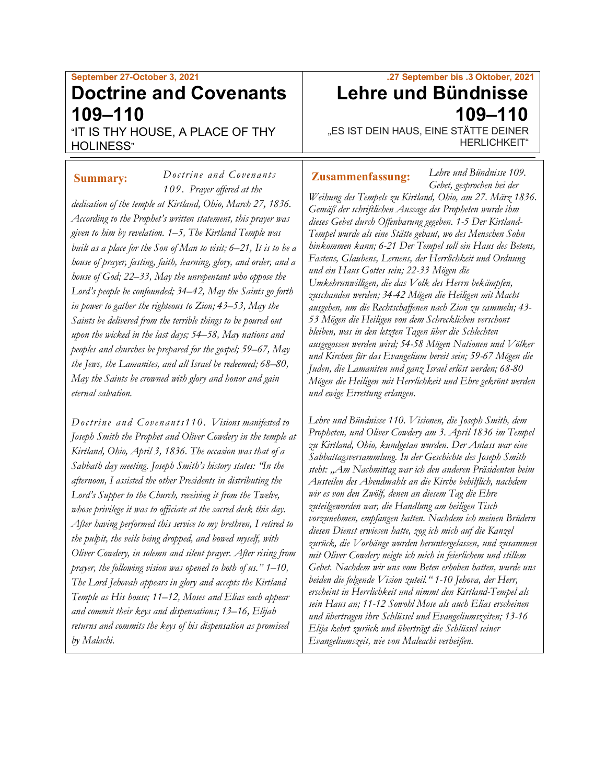# **September 27-October 3, 2021 Doctrine and Covenants 109–110**

"IT IS THY HOUSE, A PLACE OF THY HOLINESS"

*Doctrine and Covenants* 

*109. Prayer offered at the dedication of the temple at Kirtland, Ohio, March 27, 1836. According to the Prophet's written statement, this prayer was given to him by revelation. 1–5, The Kirtland Temple was built as a place for the Son of Man to visit; 6–21, It is to be a house of prayer, fasting, faith, learning, glory, and order, and a house of God; 22–33, May the unrepentant who oppose the Lord's people be confounded; 34–42, May the Saints go forth in power to gather the righteous to Zion; 43–53, May the Saints be delivered from the terrible things to be poured out upon the wicked in the last days; 54–58, May nations and peoples and churches be prepared for the gospel; 59–67, May the Jews, the Lamanites, and all Israel be redeemed; 68–80, May the Saints be crowned with glory and honor and gain eternal salvation.*

*Doctrine and Covenants110 . Visions manifested to Joseph Smith the Prophet and Oliver Cowdery in the temple at Kirtland, Ohio, April 3, 1836. The occasion was that of a Sabbath day meeting. Joseph Smith's history states: "In the afternoon, I assisted the other Presidents in distributing the Lord's Supper to the Church, receiving it from the Twelve, whose privilege it was to officiate at the sacred desk this day. After having performed this service to my brethren, I retired to the pulpit, the veils being dropped, and bowed myself, with Oliver Cowdery, in solemn and silent prayer. After rising from prayer, the following vision was opened to both of us." 1–10, The Lord Jehovah appears in glory and accepts the Kirtland Temple as His house; 11–12, Moses and Elias each appear and commit their keys and dispensations; 13–16, Elijah returns and commits the keys of his dispensation as promised by Malachi.*

# **.27 September bis .3 Oktober, 2021 Lehre und Bündnisse 109–110**

*Lehre und Bündnisse 109.*

"ES IST DEIN HAUS, EINE STÄTTE DEINER HERLICHKEIT"

#### **Summary:** *Doctrine and Covenants* | **Zusammenfassung:**

*Gebet, gesprochen bei der Weihung des Tempels zu Kirtland, Ohio, am 27. März 1836. Gemäß der schriftlichen Aussage des Propheten wurde ihm dieses Gebet durch Offenbarung gegeben. 1-5 Der Kirtland-Tempel wurde als eine Stätte gebaut, wo des Menschen Sohn hinkommen kann; 6-21 Der Tempel soll ein Haus des Betens, Fastens, Glaubens, Lernens, der Herrlichkeit und Ordnung und ein Haus Gottes sein; 22-33 Mögen die Umkehrunwilligen, die das Volk des Herrn bekämpfen, zuschanden werden; 34-42 Mögen die Heiligen mit Macht ausgehen, um die Rechtschaffenen nach Zion zu sammeln; 43- 53 Mögen die Heiligen von dem Schrecklichen verschont bleiben, was in den letzten Tagen über die Schlechten ausgegossen werden wird; 54-58 Mögen Nationen und Völker und Kirchen für das Evangelium bereit sein; 59-67 Mögen die Juden, die Lamaniten und ganz Israel erlöst werden; 68-80 Mögen die Heiligen mit Herrlichkeit und Ehre gekrönt werden und ewige Errettung erlangen.*

*Lehre und Bündnisse 110. Visionen, die Joseph Smith, dem Propheten, und Oliver Cowdery am 3. April 1836 im Tempel zu Kirtland, Ohio, kundgetan wurden. Der Anlass war eine Sabbattagsversammlung. In der Geschichte des Joseph Smith steht: "Am Nachmittag war ich den anderen Präsidenten beim Austeilen des Abendmahls an die Kirche behilflich, nachdem wir es von den Zwölf, denen an diesem Tag die Ehre zuteilgeworden war, die Handlung am heiligen Tisch vorzunehmen, empfangen hatten. Nachdem ich meinen Brüdern diesen Dienst erwiesen hatte, zog ich mich auf die Kanzel zurück, die Vorhänge wurden heruntergelassen, und zusammen mit Oliver Cowdery neigte ich mich in feierlichem und stillem Gebet. Nachdem wir uns vom Beten erhoben hatten, wurde uns beiden die folgende Vision zuteil." 1-10 Jehova, der Herr, erscheint in Herrlichkeit und nimmt den Kirtland-Tempel als sein Haus an; 11-12 Sowohl Mose als auch Elias erscheinen und übertragen ihre Schlüssel und Evangeliumszeiten; 13-16 Elija kehrt zurück und überträgt die Schlüssel seiner Evangeliumszeit, wie von Maleachi verheißen.*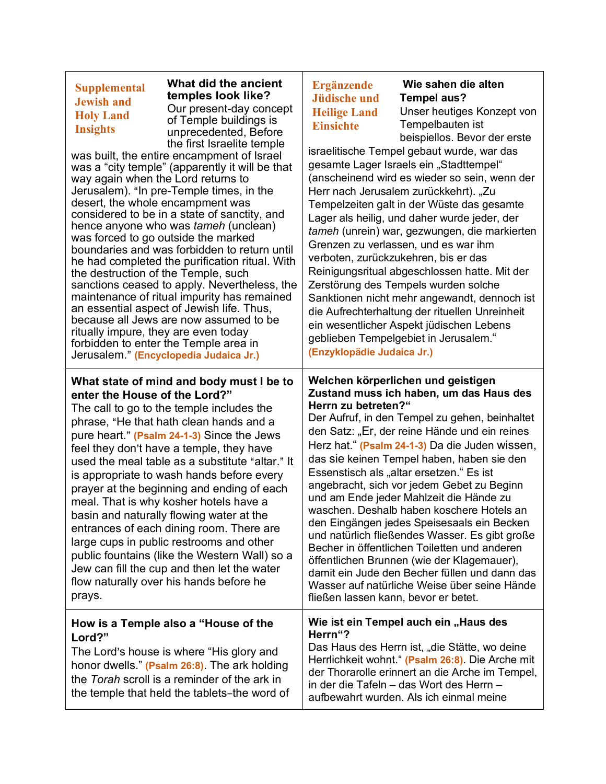| <b>Supplemental</b><br><b>Jewish and</b><br><b>Holy Land</b><br><b>Insights</b><br>way again when the Lord returns to<br>desert, the whole encampment was<br>the destruction of the Temple, such<br>ritually impure, they are even today                                                                                                                                                                                                                                                                                                                                                                                                                                                                                                     | What did the ancient<br>temples look like?<br>Our present-day concept<br>of Temple buildings is<br>unprecedented, Before<br>the first Israelite temple<br>was built, the entire encampment of Israel<br>was a "city temple" (apparently it will be that<br>Jerusalem). "In pre-Temple times, in the<br>considered to be in a state of sanctity, and<br>hence anyone who was tameh (unclean)<br>was forced to go outside the marked<br>boundaries and was forbidden to return until<br>he had completed the purification ritual. With<br>sanctions ceased to apply. Nevertheless, the<br>maintenance of ritual impurity has remained<br>an essential aspect of Jewish life. Thus,<br>because all Jews are now assumed to be<br>forbidden to enter the Temple area in<br>Jerusalem." (Encyclopedia Judaica Jr.) | Ergänzende<br><b>Jüdische und</b><br><b>Heilige Land</b><br><b>Einsichte</b><br>(Enzyklopädie Judaica Jr.) | Wie sahen die alten<br><b>Tempel aus?</b><br>Unser heutiges Konzept von<br>Tempelbauten ist<br>beispiellos. Bevor der erste<br>israelitische Tempel gebaut wurde, war das<br>gesamte Lager Israels ein "Stadttempel"<br>(anscheinend wird es wieder so sein, wenn der<br>Herr nach Jerusalem zurückkehrt). "Zu<br>Tempelzeiten galt in der Wüste das gesamte<br>Lager als heilig, und daher wurde jeder, der<br>tameh (unrein) war, gezwungen, die markierten<br>Grenzen zu verlassen, und es war ihm<br>verboten, zurückzukehren, bis er das<br>Reinigungsritual abgeschlossen hatte. Mit der<br>Zerstörung des Tempels wurden solche<br>Sanktionen nicht mehr angewandt, dennoch ist<br>die Aufrechterhaltung der rituellen Unreinheit<br>ein wesentlicher Aspekt jüdischen Lebens<br>geblieben Tempelgebiet in Jerusalem." |
|----------------------------------------------------------------------------------------------------------------------------------------------------------------------------------------------------------------------------------------------------------------------------------------------------------------------------------------------------------------------------------------------------------------------------------------------------------------------------------------------------------------------------------------------------------------------------------------------------------------------------------------------------------------------------------------------------------------------------------------------|---------------------------------------------------------------------------------------------------------------------------------------------------------------------------------------------------------------------------------------------------------------------------------------------------------------------------------------------------------------------------------------------------------------------------------------------------------------------------------------------------------------------------------------------------------------------------------------------------------------------------------------------------------------------------------------------------------------------------------------------------------------------------------------------------------------|------------------------------------------------------------------------------------------------------------|-------------------------------------------------------------------------------------------------------------------------------------------------------------------------------------------------------------------------------------------------------------------------------------------------------------------------------------------------------------------------------------------------------------------------------------------------------------------------------------------------------------------------------------------------------------------------------------------------------------------------------------------------------------------------------------------------------------------------------------------------------------------------------------------------------------------------------|
| What state of mind and body must I be to<br>enter the House of the Lord?"<br>The call to go to the temple includes the<br>phrase, "He that hath clean hands and a<br>pure heart." (Psalm 24-1-3) Since the Jews<br>feel they don't have a temple, they have<br>used the meal table as a substitute "altar." It<br>is appropriate to wash hands before every<br>prayer at the beginning and ending of each<br>meal. That is why kosher hotels have a<br>basin and naturally flowing water at the<br>entrances of each dining room. There are<br>large cups in public restrooms and other<br>public fountains (like the Western Wall) so a<br>Jew can fill the cup and then let the water<br>flow naturally over his hands before he<br>prays. |                                                                                                                                                                                                                                                                                                                                                                                                                                                                                                                                                                                                                                                                                                                                                                                                               | Herrn zu betreten?"<br>fließen lassen kann, bevor er betet.                                                | Welchen körperlichen und geistigen<br>Zustand muss ich haben, um das Haus des<br>Der Aufruf, in den Tempel zu gehen, beinhaltet<br>den Satz: "Er, der reine Hände und ein reines<br>Herz hat." (Psalm 24-1-3) Da die Juden wissen,<br>das sie keinen Tempel haben, haben sie den<br>Essenstisch als "altar ersetzen." Es ist<br>angebracht, sich vor jedem Gebet zu Beginn<br>und am Ende jeder Mahlzeit die Hände zu<br>waschen. Deshalb haben koschere Hotels an<br>den Eingängen jedes Speisesaals ein Becken<br>und natürlich fließendes Wasser. Es gibt große<br>Becher in öffentlichen Toiletten und anderen<br>öffentlichen Brunnen (wie der Klagemauer),<br>damit ein Jude den Becher füllen und dann das<br>Wasser auf natürliche Weise über seine Hände                                                             |
| How is a Temple also a "House of the<br>Lord?"<br>The Lord's house is where "His glory and<br>honor dwells." (Psalm 26:8). The ark holding<br>the Torah scroll is a reminder of the ark in<br>the temple that held the tablets-the word of                                                                                                                                                                                                                                                                                                                                                                                                                                                                                                   |                                                                                                                                                                                                                                                                                                                                                                                                                                                                                                                                                                                                                                                                                                                                                                                                               | Herrn"?                                                                                                    | Wie ist ein Tempel auch ein "Haus des<br>Das Haus des Herrn ist, "die Stätte, wo deine<br>Herrlichkeit wohnt." (Psalm 26:8). Die Arche mit<br>der Thorarolle erinnert an die Arche im Tempel,<br>in der die Tafeln - das Wort des Herrn -<br>aufbewahrt wurden. Als ich einmal meine                                                                                                                                                                                                                                                                                                                                                                                                                                                                                                                                          |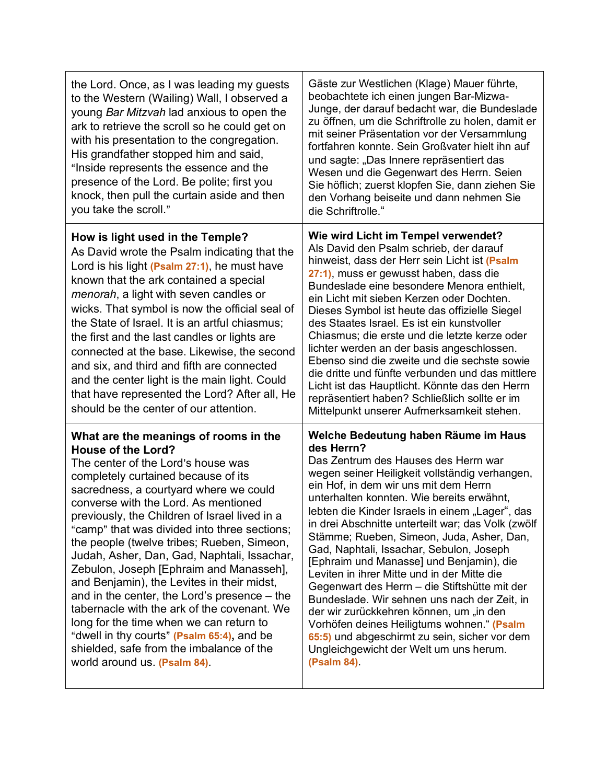| the Lord. Once, as I was leading my guests<br>to the Western (Wailing) Wall, I observed a<br>young Bar Mitzvah lad anxious to open the<br>ark to retrieve the scroll so he could get on<br>with his presentation to the congregation.<br>His grandfather stopped him and said,<br>"Inside represents the essence and the<br>presence of the Lord. Be polite; first you<br>knock, then pull the curtain aside and then<br>you take the scroll."                                                                                                                                                                                                                                                                                                                                               | Gäste zur Westlichen (Klage) Mauer führte,<br>beobachtete ich einen jungen Bar-Mizwa-<br>Junge, der darauf bedacht war, die Bundeslade<br>zu öffnen, um die Schriftrolle zu holen, damit er<br>mit seiner Präsentation vor der Versammlung<br>fortfahren konnte. Sein Großvater hielt ihn auf<br>und sagte: "Das Innere repräsentiert das<br>Wesen und die Gegenwart des Herrn. Seien<br>Sie höflich; zuerst klopfen Sie, dann ziehen Sie<br>den Vorhang beiseite und dann nehmen Sie<br>die Schriftrolle."                                                                                                                                                                                                                                                                                                                         |
|----------------------------------------------------------------------------------------------------------------------------------------------------------------------------------------------------------------------------------------------------------------------------------------------------------------------------------------------------------------------------------------------------------------------------------------------------------------------------------------------------------------------------------------------------------------------------------------------------------------------------------------------------------------------------------------------------------------------------------------------------------------------------------------------|-------------------------------------------------------------------------------------------------------------------------------------------------------------------------------------------------------------------------------------------------------------------------------------------------------------------------------------------------------------------------------------------------------------------------------------------------------------------------------------------------------------------------------------------------------------------------------------------------------------------------------------------------------------------------------------------------------------------------------------------------------------------------------------------------------------------------------------|
| How is light used in the Temple?<br>As David wrote the Psalm indicating that the<br>Lord is his light (Psalm 27:1), he must have<br>known that the ark contained a special<br><i>menorah</i> , a light with seven candles or<br>wicks. That symbol is now the official seal of<br>the State of Israel. It is an artful chiasmus;<br>the first and the last candles or lights are<br>connected at the base. Likewise, the second<br>and six, and third and fifth are connected<br>and the center light is the main light. Could<br>that have represented the Lord? After all, He<br>should be the center of our attention.                                                                                                                                                                    | Wie wird Licht im Tempel verwendet?<br>Als David den Psalm schrieb, der darauf<br>hinweist, dass der Herr sein Licht ist (Psalm<br>27:1), muss er gewusst haben, dass die<br>Bundeslade eine besondere Menora enthielt,<br>ein Licht mit sieben Kerzen oder Dochten.<br>Dieses Symbol ist heute das offizielle Siegel<br>des Staates Israel. Es ist ein kunstvoller<br>Chiasmus; die erste und die letzte kerze oder<br>lichter werden an der basis angeschlossen.<br>Ebenso sind die zweite und die sechste sowie<br>die dritte und fünfte verbunden und das mittlere<br>Licht ist das Hauptlicht. Könnte das den Herrn<br>repräsentiert haben? Schließlich sollte er im<br>Mittelpunkt unserer Aufmerksamkeit stehen.                                                                                                             |
| What are the meanings of rooms in the<br><b>House of the Lord?</b><br>The center of the Lord's house was<br>completely curtained because of its<br>sacredness, a courtyard where we could<br>converse with the Lord. As mentioned<br>previously, the Children of Israel lived in a<br>"camp" that was divided into three sections;<br>the people (twelve tribes; Rueben, Simeon,<br>Judah, Asher, Dan, Gad, Naphtali, Issachar,<br>Zebulon, Joseph [Ephraim and Manasseh],<br>and Benjamin), the Levites in their midst,<br>and in the center, the Lord's presence – the<br>tabernacle with the ark of the covenant. We<br>long for the time when we can return to<br>"dwell in thy courts" (Psalm 65:4), and be<br>shielded, safe from the imbalance of the<br>world around us. (Psalm 84). | Welche Bedeutung haben Räume im Haus<br>des Herrn?<br>Das Zentrum des Hauses des Herrn war<br>wegen seiner Heiligkeit vollständig verhangen,<br>ein Hof, in dem wir uns mit dem Herrn<br>unterhalten konnten. Wie bereits erwähnt,<br>lebten die Kinder Israels in einem "Lager", das<br>in drei Abschnitte unterteilt war; das Volk (zwölf<br>Stämme; Rueben, Simeon, Juda, Asher, Dan,<br>Gad, Naphtali, Issachar, Sebulon, Joseph<br>[Ephraim und Manasse] und Benjamin), die<br>Leviten in ihrer Mitte und in der Mitte die<br>Gegenwart des Herrn - die Stiftshütte mit der<br>Bundeslade. Wir sehnen uns nach der Zeit, in<br>der wir zurückkehren können, um "in den<br>Vorhöfen deines Heiligtums wohnen." (Psalm<br>65:5) und abgeschirmt zu sein, sicher vor dem<br>Ungleichgewicht der Welt um uns herum.<br>(Psalm 84). |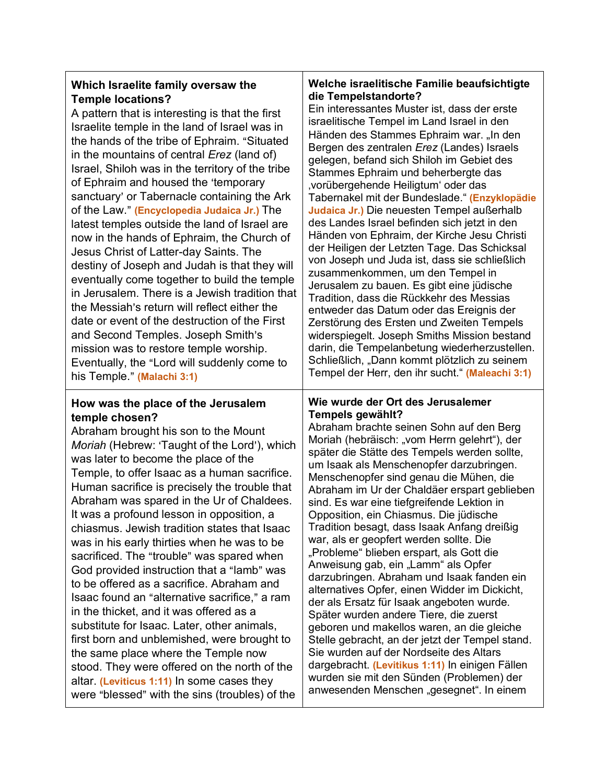# **Which Israelite family oversaw the Temple locations?**

A pattern that is interesting is that the first Israelite temple in the land of Israel was in the hands of the tribe of Ephraim. "Situated in the mountains of central *Erez* (land of) Israel, Shiloh was in the territory of the tribe of Ephraim and housed the 'temporary sanctuary' or Tabernacle containing the Ark of the Law." (**Encyclopedia Judaica Jr.**) The latest temples outside the land of Israel are now in the hands of Ephraim, the Church of Jesus Christ of Latter-day Saints. The destiny of Joseph and Judah is that they will eventually come together to build the temple in Jerusalem. There is a Jewish tradition that the Messiah's return will reflect either the date or event of the destruction of the First and Second Temples. Joseph Smith's mission was to restore temple worship. Eventually, the "Lord will suddenly come to his Temple." **(Malachi 3:1)** 

# **How was the place of the Jerusalem temple chosen?**

Abraham brought his son to the Mount *Moriah* (Hebrew: 'Taught of the Lord'), which was later to become the place of the Temple, to offer Isaac as a human sacrifice. Human sacrifice is precisely the trouble that Abraham was spared in the Ur of Chaldees. It was a profound lesson in opposition, a chiasmus. Jewish tradition states that Isaac was in his early thirties when he was to be sacrificed. The "trouble" was spared when God provided instruction that a "lamb" was to be offered as a sacrifice. Abraham and Isaac found an "alternative sacrifice," a ram in the thicket, and it was offered as a substitute for Isaac. Later, other animals, first born and unblemished, were brought to the same place where the Temple now stood. They were offered on the north of the altar. **(Leviticus 1:11)** In some cases they were "blessed" with the sins (troubles) of the

## **Welche israelitische Familie beaufsichtigte die Tempelstandorte?**

Ein interessantes Muster ist, dass der erste israelitische Tempel im Land Israel in den Händen des Stammes Ephraim war. "In den Bergen des zentralen *Erez* (Landes) Israels gelegen, befand sich Shiloh im Gebiet des Stammes Ephraim und beherbergte das 'vorübergehende Heiligtum' oder das Tabernakel mit der Bundeslade." **(Enzyklopädie Judaica Jr.)** Die neuesten Tempel außerhalb des Landes Israel befinden sich jetzt in den Händen von Ephraim, der Kirche Jesu Christi der Heiligen der Letzten Tage. Das Schicksal von Joseph und Juda ist, dass sie schließlich zusammenkommen, um den Tempel in Jerusalem zu bauen. Es gibt eine jüdische Tradition, dass die Rückkehr des Messias entweder das Datum oder das Ereignis der Zerstörung des Ersten und Zweiten Tempels widerspiegelt. Joseph Smiths Mission bestand darin, die Tempelanbetung wiederherzustellen. Schließlich, "Dann kommt plötzlich zu seinem Tempel der Herr, den ihr sucht." **(Maleachi 3:1)**

### **Wie wurde der Ort des Jerusalemer Tempels gewählt?**

Abraham brachte seinen Sohn auf den Berg Moriah (hebräisch: "vom Herrn gelehrt"), der später die Stätte des Tempels werden sollte, um Isaak als Menschenopfer darzubringen. Menschenopfer sind genau die Mühen, die Abraham im Ur der Chaldäer erspart geblieben sind. Es war eine tiefgreifende Lektion in Opposition, ein Chiasmus. Die jüdische Tradition besagt, dass Isaak Anfang dreißig war, als er geopfert werden sollte. Die "Probleme" blieben erspart, als Gott die Anweisung gab, ein "Lamm" als Opfer darzubringen. Abraham und Isaak fanden ein alternatives Opfer, einen Widder im Dickicht, der als Ersatz für Isaak angeboten wurde. Später wurden andere Tiere, die zuerst geboren und makellos waren, an die gleiche Stelle gebracht, an der jetzt der Tempel stand. Sie wurden auf der Nordseite des Altars dargebracht. **(Levitikus 1:11)** In einigen Fällen wurden sie mit den Sünden (Problemen) der anwesenden Menschen "gesegnet". In einem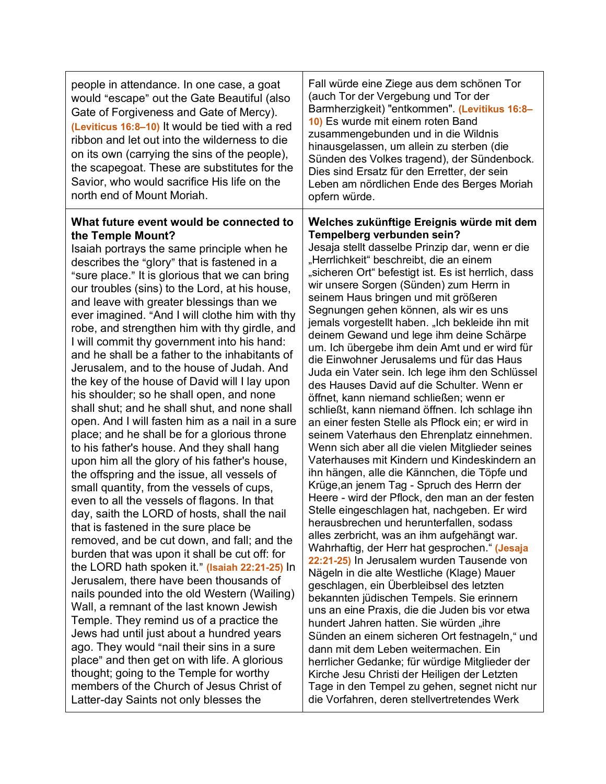| people in attendance. In one case, a goat<br>would "escape" out the Gate Beautiful (also<br>Gate of Forgiveness and Gate of Mercy).<br>(Leviticus 16:8-10) It would be tied with a red<br>ribbon and let out into the wilderness to die<br>on its own (carrying the sins of the people),<br>the scapegoat. These are substitutes for the<br>Savior, who would sacrifice His life on the<br>north end of Mount Moriah.                                                                                                                                                                                                                                                                                                                                                                                                                                                                                                                                                                                                                                                                                                                                                                                                                                                                                                                                                                                                                                                                                                                                                                                                                                                                                                                                           | Fall würde eine Ziege aus dem schönen Tor<br>(auch Tor der Vergebung und Tor der<br>Barmherzigkeit) "entkommen". (Levitikus 16:8-<br>10) Es wurde mit einem roten Band<br>zusammengebunden und in die Wildnis<br>hinausgelassen, um allein zu sterben (die<br>Sünden des Volkes tragend), der Sündenbock.<br>Dies sind Ersatz für den Erretter, der sein<br>Leben am nördlichen Ende des Berges Moriah<br>opfern würde.                                                                                                                                                                                                                                                                                                                                                                                                                                                                                                                                                                                                                                                                                                                                                                                                                                                                                                                                                                                                                                                                                                                                                                                                                                                                                                                                                                                                                                                             |
|-----------------------------------------------------------------------------------------------------------------------------------------------------------------------------------------------------------------------------------------------------------------------------------------------------------------------------------------------------------------------------------------------------------------------------------------------------------------------------------------------------------------------------------------------------------------------------------------------------------------------------------------------------------------------------------------------------------------------------------------------------------------------------------------------------------------------------------------------------------------------------------------------------------------------------------------------------------------------------------------------------------------------------------------------------------------------------------------------------------------------------------------------------------------------------------------------------------------------------------------------------------------------------------------------------------------------------------------------------------------------------------------------------------------------------------------------------------------------------------------------------------------------------------------------------------------------------------------------------------------------------------------------------------------------------------------------------------------------------------------------------------------|-------------------------------------------------------------------------------------------------------------------------------------------------------------------------------------------------------------------------------------------------------------------------------------------------------------------------------------------------------------------------------------------------------------------------------------------------------------------------------------------------------------------------------------------------------------------------------------------------------------------------------------------------------------------------------------------------------------------------------------------------------------------------------------------------------------------------------------------------------------------------------------------------------------------------------------------------------------------------------------------------------------------------------------------------------------------------------------------------------------------------------------------------------------------------------------------------------------------------------------------------------------------------------------------------------------------------------------------------------------------------------------------------------------------------------------------------------------------------------------------------------------------------------------------------------------------------------------------------------------------------------------------------------------------------------------------------------------------------------------------------------------------------------------------------------------------------------------------------------------------------------------|
| What future event would be connected to<br>the Temple Mount?<br>Isaiah portrays the same principle when he<br>describes the "glory" that is fastened in a<br>"sure place." It is glorious that we can bring<br>our troubles (sins) to the Lord, at his house,<br>and leave with greater blessings than we<br>ever imagined. "And I will clothe him with thy<br>robe, and strengthen him with thy girdle, and<br>I will commit thy government into his hand:<br>and he shall be a father to the inhabitants of<br>Jerusalem, and to the house of Judah. And<br>the key of the house of David will I lay upon<br>his shoulder; so he shall open, and none<br>shall shut; and he shall shut, and none shall<br>open. And I will fasten him as a nail in a sure<br>place; and he shall be for a glorious throne<br>to his father's house. And they shall hang<br>upon him all the glory of his father's house,<br>the offspring and the issue, all vessels of<br>small quantity, from the vessels of cups,<br>even to all the vessels of flagons. In that<br>day, saith the LORD of hosts, shall the nail<br>that is fastened in the sure place be<br>removed, and be cut down, and fall; and the<br>burden that was upon it shall be cut off: for<br>the LORD hath spoken it." (Isaiah 22:21-25) In<br>Jerusalem, there have been thousands of<br>nails pounded into the old Western (Wailing)<br>Wall, a remnant of the last known Jewish<br>Temple. They remind us of a practice the<br>Jews had until just about a hundred years<br>ago. They would "nail their sins in a sure<br>place" and then get on with life. A glorious<br>thought; going to the Temple for worthy<br>members of the Church of Jesus Christ of<br>Latter-day Saints not only blesses the | Welches zukünftige Ereignis würde mit dem<br>Tempelberg verbunden sein?<br>Jesaja stellt dasselbe Prinzip dar, wenn er die<br>"Herrlichkeit" beschreibt, die an einem<br>"sicheren Ort" befestigt ist. Es ist herrlich, dass<br>wir unsere Sorgen (Sünden) zum Herrn in<br>seinem Haus bringen und mit größeren<br>Segnungen gehen können, als wir es uns<br>jemals vorgestellt haben. "Ich bekleide ihn mit<br>deinem Gewand und lege ihm deine Schärpe<br>um. Ich übergebe ihm dein Amt und er wird für<br>die Einwohner Jerusalems und für das Haus<br>Juda ein Vater sein. Ich lege ihm den Schlüssel<br>des Hauses David auf die Schulter. Wenn er<br>öffnet, kann niemand schließen; wenn er<br>schließt, kann niemand öffnen. Ich schlage ihn<br>an einer festen Stelle als Pflock ein; er wird in<br>seinem Vaterhaus den Ehrenplatz einnehmen.<br>Wenn sich aber all die vielen Mitglieder seines<br>Vaterhauses mit Kindern und Kindeskindern an<br>ihn hängen, alle die Kännchen, die Töpfe und<br>Krüge, an jenem Tag - Spruch des Herrn der<br>Heere - wird der Pflock, den man an der festen<br>Stelle eingeschlagen hat, nachgeben. Er wird<br>herausbrechen und herunterfallen, sodass<br>alles zerbricht, was an ihm aufgehängt war.<br>Wahrhaftig, der Herr hat gesprochen." (Jesaja<br>22:21-25) In Jerusalem wurden Tausende von<br>Nägeln in die alte Westliche (Klage) Mauer<br>geschlagen, ein Überbleibsel des letzten<br>bekannten jüdischen Tempels. Sie erinnern<br>uns an eine Praxis, die die Juden bis vor etwa<br>hundert Jahren hatten. Sie würden "ihre<br>Sünden an einem sicheren Ort festnageln," und<br>dann mit dem Leben weitermachen. Ein<br>herrlicher Gedanke; für würdige Mitglieder der<br>Kirche Jesu Christi der Heiligen der Letzten<br>Tage in den Tempel zu gehen, segnet nicht nur<br>die Vorfahren, deren stellvertretendes Werk |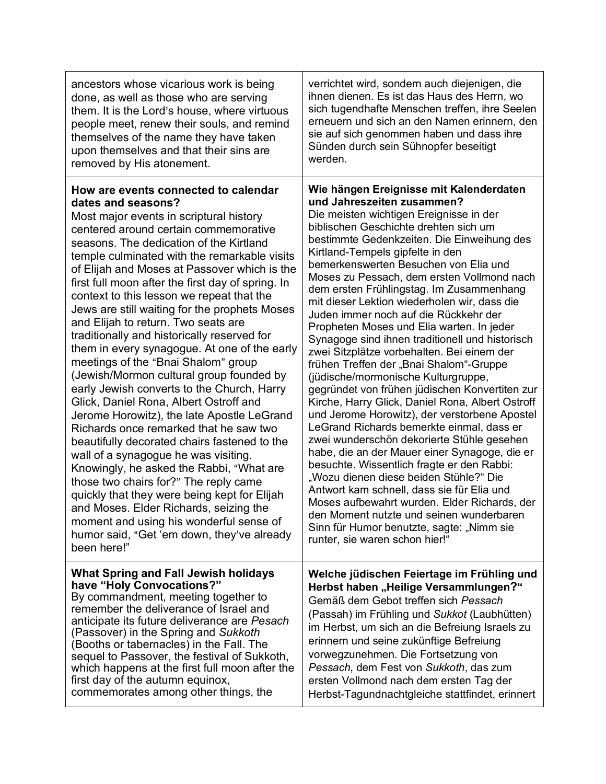| ancestors whose vicarious work is being<br>done, as well as those who are serving<br>them. It is the Lord's house, where virtuous<br>people meet, renew their souls, and remind<br>themselves of the name they have taken<br>upon themselves and that their sins are<br>removed by His atonement.                                                                                                                                                                                                                                                                                                                                                                                                                                                                                                                                                                                                                                                                                                                                                                                                                                                                                                                                    | verrichtet wird, sondern auch diejenigen, die<br>ihnen dienen. Es ist das Haus des Herrn, wo<br>sich tugendhafte Menschen treffen, ihre Seelen<br>erneuern und sich an den Namen erinnern, den<br>sie auf sich genommen haben und dass ihre<br>Sünden durch sein Sühnopfer beseitigt<br>werden.                                                                                                                                                                                                                                                                                                                                                                                                                                                                                                                                                                                                                                                                                                                                                                                                                                                                                                                                                                                                                             |
|--------------------------------------------------------------------------------------------------------------------------------------------------------------------------------------------------------------------------------------------------------------------------------------------------------------------------------------------------------------------------------------------------------------------------------------------------------------------------------------------------------------------------------------------------------------------------------------------------------------------------------------------------------------------------------------------------------------------------------------------------------------------------------------------------------------------------------------------------------------------------------------------------------------------------------------------------------------------------------------------------------------------------------------------------------------------------------------------------------------------------------------------------------------------------------------------------------------------------------------|-----------------------------------------------------------------------------------------------------------------------------------------------------------------------------------------------------------------------------------------------------------------------------------------------------------------------------------------------------------------------------------------------------------------------------------------------------------------------------------------------------------------------------------------------------------------------------------------------------------------------------------------------------------------------------------------------------------------------------------------------------------------------------------------------------------------------------------------------------------------------------------------------------------------------------------------------------------------------------------------------------------------------------------------------------------------------------------------------------------------------------------------------------------------------------------------------------------------------------------------------------------------------------------------------------------------------------|
| How are events connected to calendar<br>dates and seasons?<br>Most major events in scriptural history<br>centered around certain commemorative<br>seasons. The dedication of the Kirtland<br>temple culminated with the remarkable visits<br>of Elijah and Moses at Passover which is the<br>first full moon after the first day of spring. In<br>context to this lesson we repeat that the<br>Jews are still waiting for the prophets Moses<br>and Elijah to return. Two seats are<br>traditionally and historically reserved for<br>them in every synagogue. At one of the early<br>meetings of the "Bnai Shalom" group<br>(Jewish/Mormon cultural group founded by<br>early Jewish converts to the Church, Harry<br>Glick, Daniel Rona, Albert Ostroff and<br>Jerome Horowitz), the late Apostle LeGrand<br>Richards once remarked that he saw two<br>beautifully decorated chairs fastened to the<br>wall of a synagogue he was visiting.<br>Knowingly, he asked the Rabbi, "What are<br>those two chairs for?" The reply came<br>quickly that they were being kept for Elijah<br>and Moses. Elder Richards, seizing the<br>moment and using his wonderful sense of<br>humor said, "Get 'em down, they've already<br>been here!" | Wie hängen Ereignisse mit Kalenderdaten<br>und Jahreszeiten zusammen?<br>Die meisten wichtigen Ereignisse in der<br>biblischen Geschichte drehten sich um<br>bestimmte Gedenkzeiten. Die Einweihung des<br>Kirtland-Tempels gipfelte in den<br>bemerkenswerten Besuchen von Elia und<br>Moses zu Pessach, dem ersten Vollmond nach<br>dem ersten Frühlingstag. Im Zusammenhang<br>mit dieser Lektion wiederholen wir, dass die<br>Juden immer noch auf die Rückkehr der<br>Propheten Moses und Elia warten. In jeder<br>Synagoge sind ihnen traditionell und historisch<br>zwei Sitzplätze vorbehalten. Bei einem der<br>frühen Treffen der "Bnai Shalom"-Gruppe<br>(jüdische/mormonische Kulturgruppe,<br>gegründet von frühen jüdischen Konvertiten zur<br>Kirche, Harry Glick, Daniel Rona, Albert Ostroff<br>und Jerome Horowitz), der verstorbene Apostel<br>LeGrand Richards bemerkte einmal, dass er<br>zwei wunderschön dekorierte Stühle gesehen<br>habe, die an der Mauer einer Synagoge, die er<br>besuchte. Wissentlich fragte er den Rabbi:<br>"Wozu dienen diese beiden Stühle?" Die<br>Antwort kam schnell, dass sie für Elia und<br>Moses aufbewahrt wurden. Elder Richards, der<br>den Moment nutzte und seinen wunderbaren<br>Sinn für Humor benutzte, sagte: "Nimm sie<br>runter, sie waren schon hier!" |
| <b>What Spring and Fall Jewish holidays</b><br>have "Holy Convocations?"<br>By commandment, meeting together to<br>remember the deliverance of Israel and<br>anticipate its future deliverance are Pesach<br>(Passover) in the Spring and Sukkoth<br>(Booths or tabernacles) in the Fall. The<br>sequel to Passover, the festival of Sukkoth,<br>which happens at the first full moon after the<br>first day of the autumn equinox,<br>commemorates among other things, the                                                                                                                                                                                                                                                                                                                                                                                                                                                                                                                                                                                                                                                                                                                                                          | Welche jüdischen Feiertage im Frühling und<br>Herbst haben "Heilige Versammlungen?"<br>Gemäß dem Gebot treffen sich Pessach<br>(Passah) im Frühling und Sukkot (Laubhütten)<br>im Herbst, um sich an die Befreiung Israels zu<br>erinnern und seine zukünftige Befreiung<br>vorwegzunehmen. Die Fortsetzung von<br>Pessach, dem Fest von Sukkoth, das zum<br>ersten Vollmond nach dem ersten Tag der<br>Herbst-Tagundnachtgleiche stattfindet, erinnert                                                                                                                                                                                                                                                                                                                                                                                                                                                                                                                                                                                                                                                                                                                                                                                                                                                                     |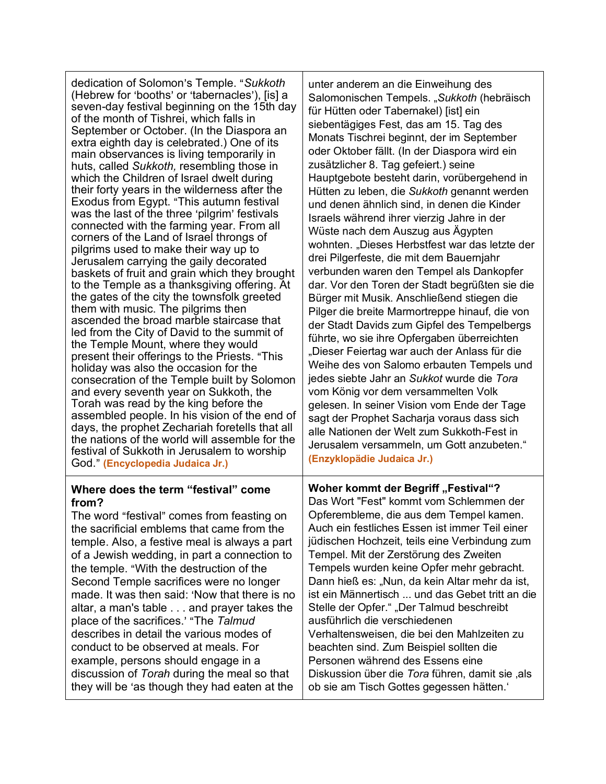dedication of Solomon's Temple. "Sukkoth (Hebrew for 'booths' or 'tabernacles'), [is] a seven-day festival beginning on the 15th day of the month of Tishrei, which falls in September or October. (In the Diaspora an extra eighth day is celebrated.) One of its main observances is living temporarily in huts, called *Sukkoth,* resembling those in which the Children of Israel dwelt during their forty years in the wilderness after the Exodus from Egypt. "This autumn festival was the last of the three 'pilgrim' festivals connected with the farming year. From all corners of the Land of Israel throngs of pilgrims used to make their way up to Jerusalem carrying the gaily decorated baskets of fruit and grain which they brought to the Temple as a thanksgiving offering. At the gates of the city the townsfolk greeted them with music. The pilgrims then ascended the broad marble staircase that led from the City of David to the summit of the Temple Mount, where they would present their offerings to the Priests. "This holiday was also the occasion for the consecration of the Temple built by Solomon and every seventh year on Sukkoth, the Torah was read by the king before the assembled people. In his vision of the end of days, the prophet Zechariah foretells that all the nations of the world will assemble for the festival of Sukkoth in Jerusalem to worship God.@ **(Encyclopedia Judaica Jr.)**

### **Where does the term "festival" come from?**

The word "festival" comes from feasting on the sacrificial emblems that came from the temple. Also, a festive meal is always a part of a Jewish wedding, in part a connection to the temple. "With the destruction of the Second Temple sacrifices were no longer made. It was then said: 'Now that there is no altar, a man's table . . . and prayer takes the place of the sacrifices.' "The Talmud describes in detail the various modes of conduct to be observed at meals. For example, persons should engage in a discussion of *Torah* during the meal so that they will be 'as though they had eaten at the

unter anderem an die Einweihung des Salomonischen Tempels. "*Sukkoth* (hebräisch für Hütten oder Tabernakel) [ist] ein siebentägiges Fest, das am 15. Tag des Monats Tischrei beginnt, der im September oder Oktober fällt. (In der Diaspora wird ein zusätzlicher 8. Tag gefeiert.) seine Hauptgebote besteht darin, vorübergehend in Hütten zu leben, die *Sukkoth* genannt werden und denen ähnlich sind, in denen die Kinder Israels während ihrer vierzig Jahre in der Wüste nach dem Auszug aus Ägypten wohnten. "Dieses Herbstfest war das letzte der drei Pilgerfeste, die mit dem Bauernjahr verbunden waren den Tempel als Dankopfer dar. Vor den Toren der Stadt begrüßten sie die Bürger mit Musik. Anschließend stiegen die Pilger die breite Marmortreppe hinauf, die von der Stadt Davids zum Gipfel des Tempelbergs führte, wo sie ihre Opfergaben überreichten "Dieser Feiertag war auch der Anlass für die Weihe des von Salomo erbauten Tempels und jedes siebte Jahr an *Sukkot* wurde die *Tora* vom König vor dem versammelten Volk gelesen. In seiner Vision vom Ende der Tage sagt der Prophet Sacharja voraus dass sich alle Nationen der Welt zum Sukkoth-Fest in Jerusalem versammeln, um Gott anzubeten." **(Enzyklopädie Judaica Jr.)**

## **Woher kommt der Begriff "Festival"?** Das Wort "Fest" kommt vom Schlemmen der Opferembleme, die aus dem Tempel kamen. Auch ein festliches Essen ist immer Teil einer jüdischen Hochzeit, teils eine Verbindung zum Tempel. Mit der Zerstörung des Zweiten Tempels wurden keine Opfer mehr gebracht. Dann hieß es: "Nun, da kein Altar mehr da ist, ist ein Männertisch ... und das Gebet tritt an die Stelle der Opfer." "Der Talmud beschreibt ausführlich die verschiedenen Verhaltensweisen, die bei den Mahlzeiten zu beachten sind. Zum Beispiel sollten die Personen während des Essens eine Diskussion über die *Tora* führen, damit sie ,als ob sie am Tisch Gottes gegessen hätten.'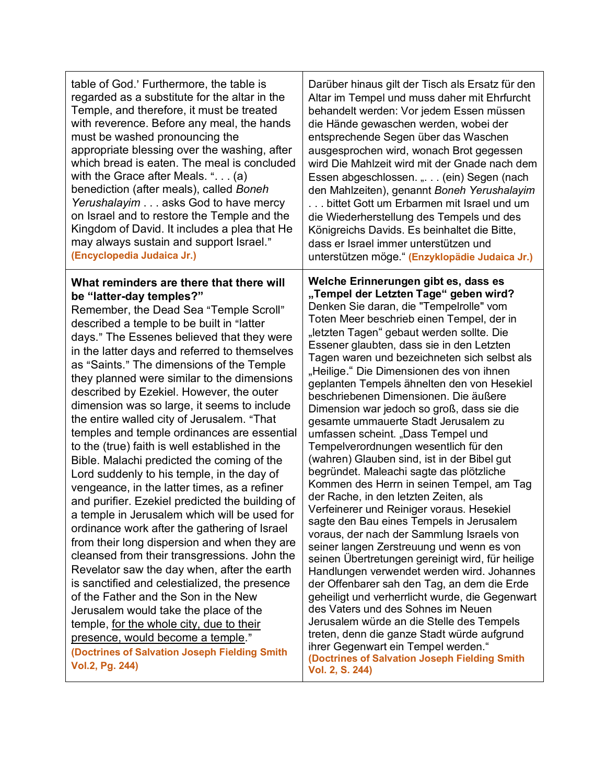| table of God.' Furthermore, the table is                                                                                                                                                                                                                                                                                                                                                                                                                                                                                                                                                                                                                                                                                                                                                                                                                                                                                                                                                                                                                                                                                                                                                                                                                                                                                                     | Darüber hinaus gilt der Tisch als Ersatz für den                                                                                                                                                                                                                                                                                                                                                                                                                                                                                                                                                                                                                                                                                                                                                                                                                                                                                                                                                                                                                                                                                                                                                                                                                                                                                                                                                                                              |
|----------------------------------------------------------------------------------------------------------------------------------------------------------------------------------------------------------------------------------------------------------------------------------------------------------------------------------------------------------------------------------------------------------------------------------------------------------------------------------------------------------------------------------------------------------------------------------------------------------------------------------------------------------------------------------------------------------------------------------------------------------------------------------------------------------------------------------------------------------------------------------------------------------------------------------------------------------------------------------------------------------------------------------------------------------------------------------------------------------------------------------------------------------------------------------------------------------------------------------------------------------------------------------------------------------------------------------------------|-----------------------------------------------------------------------------------------------------------------------------------------------------------------------------------------------------------------------------------------------------------------------------------------------------------------------------------------------------------------------------------------------------------------------------------------------------------------------------------------------------------------------------------------------------------------------------------------------------------------------------------------------------------------------------------------------------------------------------------------------------------------------------------------------------------------------------------------------------------------------------------------------------------------------------------------------------------------------------------------------------------------------------------------------------------------------------------------------------------------------------------------------------------------------------------------------------------------------------------------------------------------------------------------------------------------------------------------------------------------------------------------------------------------------------------------------|
| regarded as a substitute for the altar in the                                                                                                                                                                                                                                                                                                                                                                                                                                                                                                                                                                                                                                                                                                                                                                                                                                                                                                                                                                                                                                                                                                                                                                                                                                                                                                | Altar im Tempel und muss daher mit Ehrfurcht                                                                                                                                                                                                                                                                                                                                                                                                                                                                                                                                                                                                                                                                                                                                                                                                                                                                                                                                                                                                                                                                                                                                                                                                                                                                                                                                                                                                  |
| Temple, and therefore, it must be treated                                                                                                                                                                                                                                                                                                                                                                                                                                                                                                                                                                                                                                                                                                                                                                                                                                                                                                                                                                                                                                                                                                                                                                                                                                                                                                    | behandelt werden: Vor jedem Essen müssen                                                                                                                                                                                                                                                                                                                                                                                                                                                                                                                                                                                                                                                                                                                                                                                                                                                                                                                                                                                                                                                                                                                                                                                                                                                                                                                                                                                                      |
| with reverence. Before any meal, the hands                                                                                                                                                                                                                                                                                                                                                                                                                                                                                                                                                                                                                                                                                                                                                                                                                                                                                                                                                                                                                                                                                                                                                                                                                                                                                                   | die Hände gewaschen werden, wobei der                                                                                                                                                                                                                                                                                                                                                                                                                                                                                                                                                                                                                                                                                                                                                                                                                                                                                                                                                                                                                                                                                                                                                                                                                                                                                                                                                                                                         |
| must be washed pronouncing the                                                                                                                                                                                                                                                                                                                                                                                                                                                                                                                                                                                                                                                                                                                                                                                                                                                                                                                                                                                                                                                                                                                                                                                                                                                                                                               | entsprechende Segen über das Waschen                                                                                                                                                                                                                                                                                                                                                                                                                                                                                                                                                                                                                                                                                                                                                                                                                                                                                                                                                                                                                                                                                                                                                                                                                                                                                                                                                                                                          |
| appropriate blessing over the washing, after                                                                                                                                                                                                                                                                                                                                                                                                                                                                                                                                                                                                                                                                                                                                                                                                                                                                                                                                                                                                                                                                                                                                                                                                                                                                                                 | ausgesprochen wird, wonach Brot gegessen                                                                                                                                                                                                                                                                                                                                                                                                                                                                                                                                                                                                                                                                                                                                                                                                                                                                                                                                                                                                                                                                                                                                                                                                                                                                                                                                                                                                      |
| which bread is eaten. The meal is concluded                                                                                                                                                                                                                                                                                                                                                                                                                                                                                                                                                                                                                                                                                                                                                                                                                                                                                                                                                                                                                                                                                                                                                                                                                                                                                                  | wird Die Mahlzeit wird mit der Gnade nach dem                                                                                                                                                                                                                                                                                                                                                                                                                                                                                                                                                                                                                                                                                                                                                                                                                                                                                                                                                                                                                                                                                                                                                                                                                                                                                                                                                                                                 |
| with the Grace after Meals. " $(a)$                                                                                                                                                                                                                                                                                                                                                                                                                                                                                                                                                                                                                                                                                                                                                                                                                                                                                                                                                                                                                                                                                                                                                                                                                                                                                                          | Essen abgeschlossen. ". (ein) Segen (nach                                                                                                                                                                                                                                                                                                                                                                                                                                                                                                                                                                                                                                                                                                                                                                                                                                                                                                                                                                                                                                                                                                                                                                                                                                                                                                                                                                                                     |
| benediction (after meals), called Boneh                                                                                                                                                                                                                                                                                                                                                                                                                                                                                                                                                                                                                                                                                                                                                                                                                                                                                                                                                                                                                                                                                                                                                                                                                                                                                                      | den Mahlzeiten), genannt Boneh Yerushalayim                                                                                                                                                                                                                                                                                                                                                                                                                                                                                                                                                                                                                                                                                                                                                                                                                                                                                                                                                                                                                                                                                                                                                                                                                                                                                                                                                                                                   |
| Yerushalayim asks God to have mercy                                                                                                                                                                                                                                                                                                                                                                                                                                                                                                                                                                                                                                                                                                                                                                                                                                                                                                                                                                                                                                                                                                                                                                                                                                                                                                          | bittet Gott um Erbarmen mit Israel und um                                                                                                                                                                                                                                                                                                                                                                                                                                                                                                                                                                                                                                                                                                                                                                                                                                                                                                                                                                                                                                                                                                                                                                                                                                                                                                                                                                                                     |
| on Israel and to restore the Temple and the                                                                                                                                                                                                                                                                                                                                                                                                                                                                                                                                                                                                                                                                                                                                                                                                                                                                                                                                                                                                                                                                                                                                                                                                                                                                                                  | die Wiederherstellung des Tempels und des                                                                                                                                                                                                                                                                                                                                                                                                                                                                                                                                                                                                                                                                                                                                                                                                                                                                                                                                                                                                                                                                                                                                                                                                                                                                                                                                                                                                     |
| Kingdom of David. It includes a plea that He                                                                                                                                                                                                                                                                                                                                                                                                                                                                                                                                                                                                                                                                                                                                                                                                                                                                                                                                                                                                                                                                                                                                                                                                                                                                                                 | Königreichs Davids. Es beinhaltet die Bitte,                                                                                                                                                                                                                                                                                                                                                                                                                                                                                                                                                                                                                                                                                                                                                                                                                                                                                                                                                                                                                                                                                                                                                                                                                                                                                                                                                                                                  |
| may always sustain and support Israel."                                                                                                                                                                                                                                                                                                                                                                                                                                                                                                                                                                                                                                                                                                                                                                                                                                                                                                                                                                                                                                                                                                                                                                                                                                                                                                      | dass er Israel immer unterstützen und                                                                                                                                                                                                                                                                                                                                                                                                                                                                                                                                                                                                                                                                                                                                                                                                                                                                                                                                                                                                                                                                                                                                                                                                                                                                                                                                                                                                         |
| (Encyclopedia Judaica Jr.)                                                                                                                                                                                                                                                                                                                                                                                                                                                                                                                                                                                                                                                                                                                                                                                                                                                                                                                                                                                                                                                                                                                                                                                                                                                                                                                   | unterstützen möge." (Enzyklopädie Judaica Jr.)                                                                                                                                                                                                                                                                                                                                                                                                                                                                                                                                                                                                                                                                                                                                                                                                                                                                                                                                                                                                                                                                                                                                                                                                                                                                                                                                                                                                |
| What reminders are there that there will<br>be "latter-day temples?"<br>Remember, the Dead Sea "Temple Scroll"<br>described a temple to be built in "latter<br>days." The Essenes believed that they were<br>in the latter days and referred to themselves<br>as "Saints." The dimensions of the Temple<br>they planned were similar to the dimensions<br>described by Ezekiel. However, the outer<br>dimension was so large, it seems to include<br>the entire walled city of Jerusalem. "That<br>temples and temple ordinances are essential<br>to the (true) faith is well established in the<br>Bible. Malachi predicted the coming of the<br>Lord suddenly to his temple, in the day of<br>vengeance, in the latter times, as a refiner<br>and purifier. Ezekiel predicted the building of<br>a temple in Jerusalem which will be used for<br>ordinance work after the gathering of Israel<br>from their long dispersion and when they are<br>cleansed from their transgressions. John the<br>Revelator saw the day when, after the earth<br>is sanctified and celestialized, the presence<br>of the Father and the Son in the New<br>Jerusalem would take the place of the<br>temple, for the whole city, due to their<br>presence, would become a temple."<br>(Doctrines of Salvation Joseph Fielding Smith<br><b>Vol.2, Pg. 244)</b> | Welche Erinnerungen gibt es, dass es<br>"Tempel der Letzten Tage" geben wird?<br>Denken Sie daran, die "Tempelrolle" vom<br>Toten Meer beschrieb einen Tempel, der in<br>"letzten Tagen" gebaut werden sollte. Die<br>Essener glaubten, dass sie in den Letzten<br>Tagen waren und bezeichneten sich selbst als<br>"Heilige." Die Dimensionen des von ihnen<br>geplanten Tempels ähnelten den von Hesekiel<br>beschriebenen Dimensionen. Die äußere<br>Dimension war jedoch so groß, dass sie die<br>gesamte ummauerte Stadt Jerusalem zu<br>umfassen scheint. "Dass Tempel und<br>Tempelverordnungen wesentlich für den<br>(wahren) Glauben sind, ist in der Bibel gut<br>begründet. Maleachi sagte das plötzliche<br>Kommen des Herrn in seinen Tempel, am Tag<br>der Rache, in den letzten Zeiten, als<br>Verfeinerer und Reiniger voraus. Hesekiel<br>sagte den Bau eines Tempels in Jerusalem<br>voraus, der nach der Sammlung Israels von<br>seiner langen Zerstreuung und wenn es von<br>seinen Übertretungen gereinigt wird, für heilige<br>Handlungen verwendet werden wird. Johannes<br>der Offenbarer sah den Tag, an dem die Erde<br>geheiligt und verherrlicht wurde, die Gegenwart<br>des Vaters und des Sohnes im Neuen<br>Jerusalem würde an die Stelle des Tempels<br>treten, denn die ganze Stadt würde aufgrund<br>ihrer Gegenwart ein Tempel werden."<br>(Doctrines of Salvation Joseph Fielding Smith<br>Vol. 2, S. 244) |